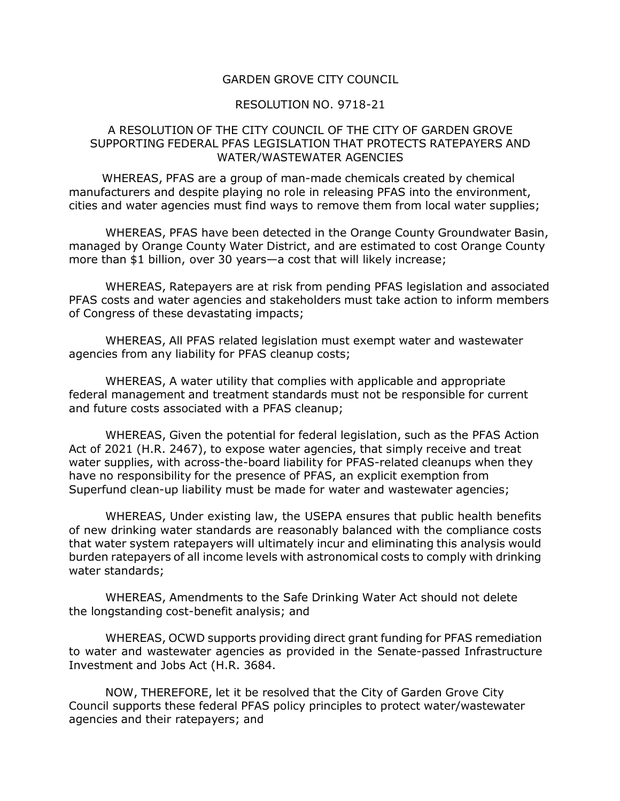### GARDEN GROVE CITY COUNCIL

#### RESOLUTION NO. 9718-21

### A RESOLUTION OF THE CITY COUNCIL OF THE CITY OF GARDEN GROVE SUPPORTING FEDERAL PFAS LEGISLATION THAT PROTECTS RATEPAYERS AND WATER/WASTEWATER AGENCIES

WHEREAS, PFAS are a group of man-made chemicals created by chemical manufacturers and despite playing no role in releasing PFAS into the environment, cities and water agencies must find ways to remove them from local water supplies;

WHEREAS, PFAS have been detected in the Orange County Groundwater Basin, managed by Orange County Water District, and are estimated to cost Orange County more than \$1 billion, over 30 years—a cost that will likely increase;

WHEREAS, Ratepayers are at risk from pending PFAS legislation and associated PFAS costs and water agencies and stakeholders must take action to inform members of Congress of these devastating impacts;

WHEREAS, All PFAS related legislation must exempt water and wastewater agencies from any liability for PFAS cleanup costs;

WHEREAS, A water utility that complies with applicable and appropriate federal management and treatment standards must not be responsible for current and future costs associated with a PFAS cleanup;

WHEREAS, Given the potential for federal legislation, such as the PFAS Action Act of 2021 (H.R. 2467), to expose water agencies, that simply receive and treat water supplies, with across-the-board liability for PFAS-related cleanups when they have no responsibility for the presence of PFAS, an explicit exemption from Superfund clean-up liability must be made for water and wastewater agencies;

WHEREAS, Under existing law, the USEPA ensures that public health benefits of new drinking water standards are reasonably balanced with the compliance costs that water system ratepayers will ultimately incur and eliminating this analysis would burden ratepayers of all income levels with astronomical costs to comply with drinking water standards;

WHEREAS, Amendments to the Safe Drinking Water Act should not delete the longstanding cost-benefit analysis; and

WHEREAS, OCWD supports providing direct grant funding for PFAS remediation to water and wastewater agencies as provided in the Senate-passed Infrastructure Investment and Jobs Act (H.R. 3684.

NOW, THEREFORE, let it be resolved that the City of Garden Grove City Council supports these federal PFAS policy principles to protect water/wastewater agencies and their ratepayers; and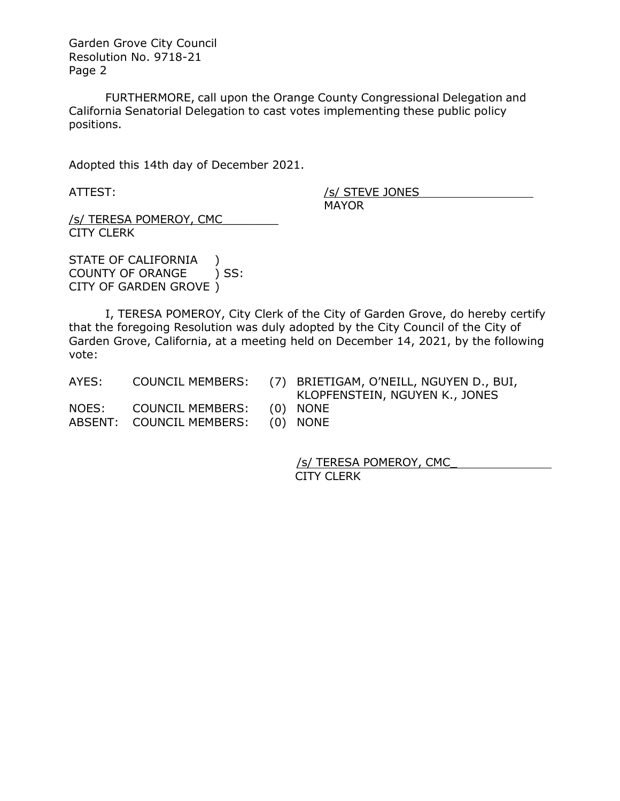Garden Grove City Council Resolution No. 9718-21 Page 2

FURTHERMORE, call upon the Orange County Congressional Delegation and California Senatorial Delegation to cast votes implementing these public policy positions.

Adopted this 14th day of December 2021.

ATTEST: /s/ STEVE JONES MAYOR

/s/ TERESA POMEROY, CMC\_\_\_\_\_\_\_\_ CITY CLERK

STATE OF CALIFORNIA ) COUNTY OF ORANGE ) SS: CITY OF GARDEN GROVE )

I, TERESA POMEROY, City Clerk of the City of Garden Grove, do hereby certify that the foregoing Resolution was duly adopted by the City Council of the City of Garden Grove, California, at a meeting held on December 14, 2021, by the following vote:

AYES: COUNCIL MEMBERS: (7) BRIETIGAM, O'NEILL, NGUYEN D., BUI, KLOPFENSTEIN, NGUYEN K., JONES

NOES: COUNCIL MEMBERS: (0) NONE ABSENT: COUNCIL MEMBERS: (0) NONE

/s/ TERESA POMEROY, CMC\_ CITY CLERK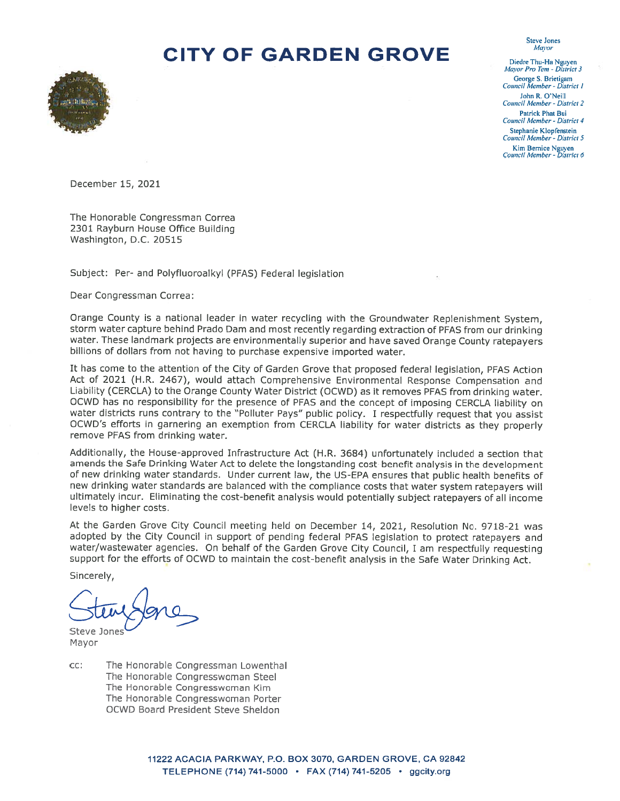

Diedre Thu-Ha Nguyen Mayor Pro Tem - District 3 George S. Brietigam Council Member - District 1 John R. O'Neill Council Member - District 2 Patrick Phat Bui Council Member - District 4 Stephanie Klopfenstein Council Member - District 5 Kim Bernice Nguyen<br>Council Member - District 6

**Steve Jones Mayor** 

December 15, 2021

The Honorable Congressman Correa 2301 Rayburn House Office Building Washington, D.C. 20515

Subject: Per- and Polyfluoroalkyl (PFAS) Federal legislation

Dear Congressman Correa:

Orange County is a national leader in water recycling with the Groundwater Replenishment System, storm water capture behind Prado Dam and most recently regarding extraction of PFAS from our drinking water. These landmark projects are environmentally superior and have saved Orange County ratepayers billions of dollars from not having to purchase expensive imported water.

It has come to the attention of the City of Garden Grove that proposed federal legislation, PFAS Action Act of 2021 (H.R. 2467), would attach Comprehensive Environmental Response Compensation and Liability (CERCLA) to the Orange County Water District (OCWD) as it removes PFAS from drinking water. OCWD has no responsibility for the presence of PFAS and the concept of imposing CERCLA liability on water districts runs contrary to the "Polluter Pays" public policy. I respectfully request that you assist OCWD's efforts in garnering an exemption from CERCLA liability for water districts as they properly remove PFAS from drinking water.

Additionally, the House-approved Infrastructure Act (H.R. 3684) unfortunately included a section that amends the Safe Drinking Water Act to delete the longstanding cost-benefit analysis in the development of new drinking water standards. Under current law, the US-EPA ensures that public health benefits of new drinking water standards are balanced with the compliance costs that water system ratepayers will ultimately incur. Eliminating the cost-benefit analysis would potentially subject ratepayers of all income levels to higher costs.

At the Garden Grove City Council meeting held on December 14, 2021, Resolution No. 9718-21 was adopted by the City Council in support of pending federal PFAS legislation to protect ratepayers and water/wastewater agencies. On behalf of the Garden Grove City Council, I am respectfully requesting support for the efforts of OCWD to maintain the cost-benefit analysis in the Safe Water Drinking Act.

Sincerely,

Steve Jones

Mayor

CC: The Honorable Congressman Lowenthal The Honorable Congresswoman Steel The Honorable Congresswoman Kim The Honorable Congresswoman Porter **OCWD Board President Steve Sheldon**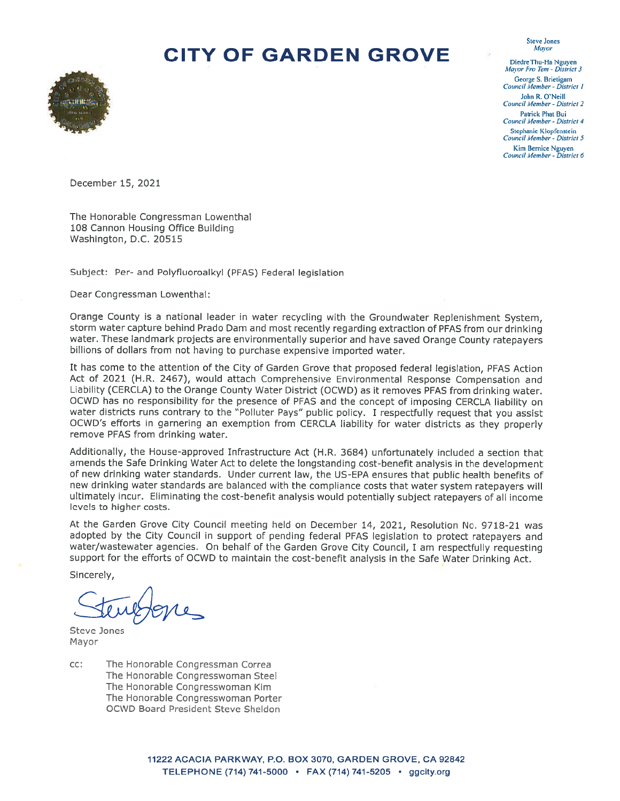

Diedre Thu-Ha Nguyen Mayor Pro Tem - District 3 George S. Brietigam Council Member - District 1 John R. O'Neill Council Member - District 2 Patrick Phat Bui Council Member - District 4 Stephanie Klopfenstein Council Member - District 5 Kim Bernice Nguyen Council Member - District 6

**Steve Jones** Mayor

December 15, 2021

The Honorable Congressman Lowenthal 108 Cannon Housing Office Building Washington, D.C. 20515

Subject: Per- and Polyfluoroalkyl (PFAS) Federal legislation

Dear Congressman Lowenthal:

Orange County is a national leader in water recycling with the Groundwater Replenishment System, storm water capture behind Prado Dam and most recently regarding extraction of PFAS from our drinking water. These landmark projects are environmentally superior and have saved Orange County ratepayers billions of dollars from not having to purchase expensive imported water.

It has come to the attention of the City of Garden Grove that proposed federal legislation, PFAS Action Act of 2021 (H.R. 2467), would attach Comprehensive Environmental Response Compensation and Liability (CERCLA) to the Orange County Water District (OCWD) as it removes PFAS from drinking water. OCWD has no responsibility for the presence of PFAS and the concept of imposing CERCLA liability on water districts runs contrary to the "Polluter Pays" public policy. I respectfully request that you assist OCWD's efforts in garnering an exemption from CERCLA liability for water districts as they properly remove PFAS from drinking water.

Additionally, the House-approved Infrastructure Act (H.R. 3684) unfortunately included a section that amends the Safe Drinking Water Act to delete the longstanding cost-benefit analysis in the development of new drinking water standards. Under current law, the US-EPA ensures that public health benefits of new drinking water standards are balanced with the compliance costs that water system ratepayers will ultimately incur. Eliminating the cost-benefit analysis would potentially subject ratepayers of all income levels to higher costs.

At the Garden Grove City Council meeting held on December 14, 2021, Resolution No. 9718-21 was adopted by the City Council in support of pending federal PFAS legislation to protect ratepayers and water/wastewater agencies. On behalf of the Garden Grove City Council, I am respectfully requesting support for the efforts of OCWD to maintain the cost-benefit analysis in the Safe Water Drinking Act.

Sincerely,

Steve Jones Mayor

The Honorable Congressman Correa CC: The Honorable Congresswoman Steel The Honorable Congresswoman Kim The Honorable Congresswoman Porter **OCWD Board President Steve Sheldon**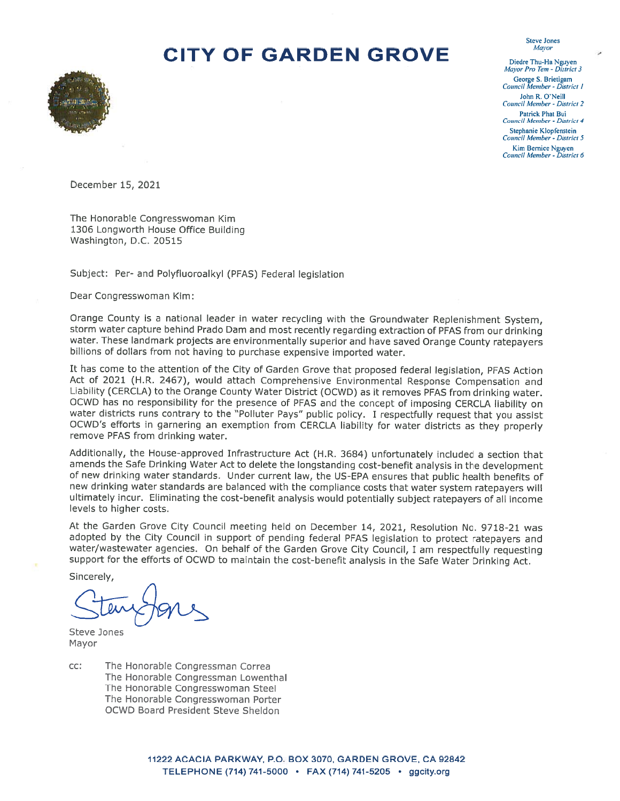

Diedre Thu-Ha Nguyen Mayor Pro Tem - District 3 George S. Brietigam Council Member - District 1 John R. O'Neill **Council Member - District 2** Patrick Phat Bui Council Member - District 4 Stephanie Klopfenstein Council Member - District 5 Kim Bernice Nguyen<br>Council Member - District 6

**Steve Jones** Mayor

December 15, 2021

The Honorable Congresswoman Kim 1306 Longworth House Office Building Washington, D.C. 20515

Subject: Per- and Polyfluoroalkyl (PFAS) Federal legislation

Dear Congresswoman Kim:

Orange County is a national leader in water recycling with the Groundwater Replenishment System, storm water capture behind Prado Dam and most recently regarding extraction of PFAS from our drinking water. These landmark projects are environmentally superior and have saved Orange County ratepayers billions of dollars from not having to purchase expensive imported water.

It has come to the attention of the City of Garden Grove that proposed federal legislation, PFAS Action Act of 2021 (H.R. 2467), would attach Comprehensive Environmental Response Compensation and Liability (CERCLA) to the Orange County Water District (OCWD) as it removes PFAS from drinking water. OCWD has no responsibility for the presence of PFAS and the concept of imposing CERCLA liability on water districts runs contrary to the "Polluter Pays" public policy. I respectfully request that you assist OCWD's efforts in garnering an exemption from CERCLA liability for water districts as they properly remove PFAS from drinking water.

Additionally, the House-approved Infrastructure Act (H.R. 3684) unfortunately included a section that amends the Safe Drinking Water Act to delete the longstanding cost-benefit analysis in the development of new drinking water standards. Under current law, the US-EPA ensures that public health benefits of new drinking water standards are balanced with the compliance costs that water system ratepayers will ultimately incur. Eliminating the cost-benefit analysis would potentially subject ratepayers of all income levels to higher costs.

At the Garden Grove City Council meeting held on December 14, 2021, Resolution No. 9718-21 was adopted by the City Council in support of pending federal PFAS legislation to protect ratepayers and water/wastewater agencies. On behalf of the Garden Grove City Council, I am respectfully requesting support for the efforts of OCWD to maintain the cost-benefit analysis in the Safe Water Drinking Act.

Sincerely.

Steve Jones Mayor

cc: The Honorable Congressman Correa The Honorable Congressman Lowenthal The Honorable Congresswoman Steel The Honorable Congresswoman Porter **OCWD Board President Steve Sheldon**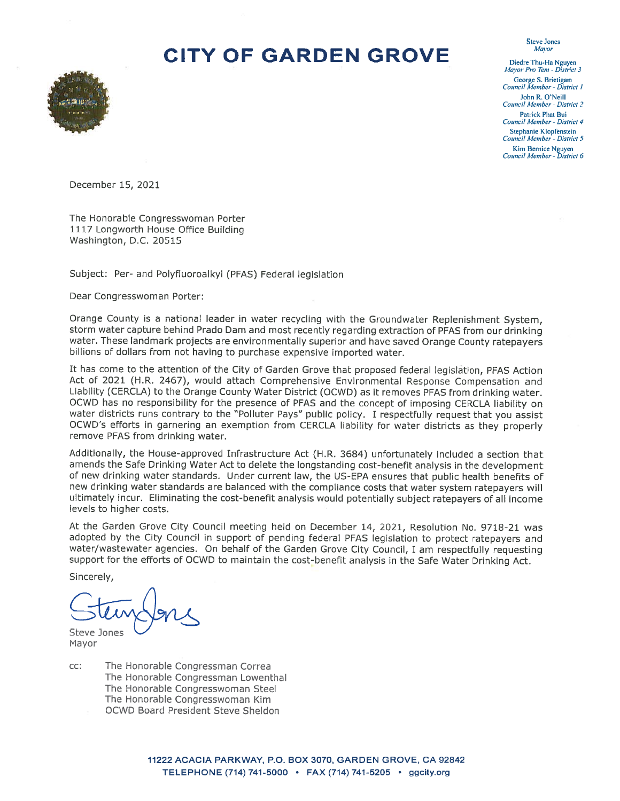

Diedre Thu-Ha Nguyen<br>Mayor Pro Tem - District 3 George S. Brietigam Council Member - District 1 John R. O'Neill Council Member - District 2 **Patrick Phat Bui** Council Member - District 4 Stephanie Klopfenstein Council Member - District 5

**Steve Jones** Mayor

Kim Bernice Nguyen Council Member - District 6

December 15, 2021

The Honorable Congresswoman Porter 1117 Longworth House Office Building Washington, D.C. 20515

Subject: Per- and Polyfluoroalkyl (PFAS) Federal legislation

Dear Congresswoman Porter:

Orange County is a national leader in water recycling with the Groundwater Replenishment System. storm water capture behind Prado Dam and most recently regarding extraction of PFAS from our drinking water. These landmark projects are environmentally superior and have saved Orange County ratepayers billions of dollars from not having to purchase expensive imported water.

It has come to the attention of the City of Garden Grove that proposed federal legislation, PFAS Action Act of 2021 (H.R. 2467), would attach Comprehensive Environmental Response Compensation and Liability (CERCLA) to the Orange County Water District (OCWD) as it removes PFAS from drinking water. OCWD has no responsibility for the presence of PFAS and the concept of imposing CERCLA liability on water districts runs contrary to the "Polluter Pays" public policy. I respectfully request that you assist OCWD's efforts in garnering an exemption from CERCLA liability for water districts as they properly remove PFAS from drinking water.

Additionally, the House-approved Infrastructure Act (H.R. 3684) unfortunately included a section that amends the Safe Drinking Water Act to delete the longstanding cost-benefit analysis in the development of new drinking water standards. Under current law, the US-EPA ensures that public health benefits of new drinking water standards are balanced with the compliance costs that water system ratepayers will ultimately incur. Eliminating the cost-benefit analysis would potentially subject ratepayers of all income levels to higher costs.

At the Garden Grove City Council meeting held on December 14, 2021, Resolution No. 9718-21 was adopted by the City Council in support of pending federal PFAS legislation to protect ratepayers and water/wastewater agencies. On behalf of the Garden Grove City Council, I am respectfully requesting support for the efforts of OCWD to maintain the cost-benefit analysis in the Safe Water Drinking Act.

Sincerely,

Steve Jones

Mayor

cc: The Honorable Congressman Correa The Honorable Congressman Lowenthal The Honorable Congresswoman Steel The Honorable Congresswoman Kim **OCWD Board President Steve Sheldon**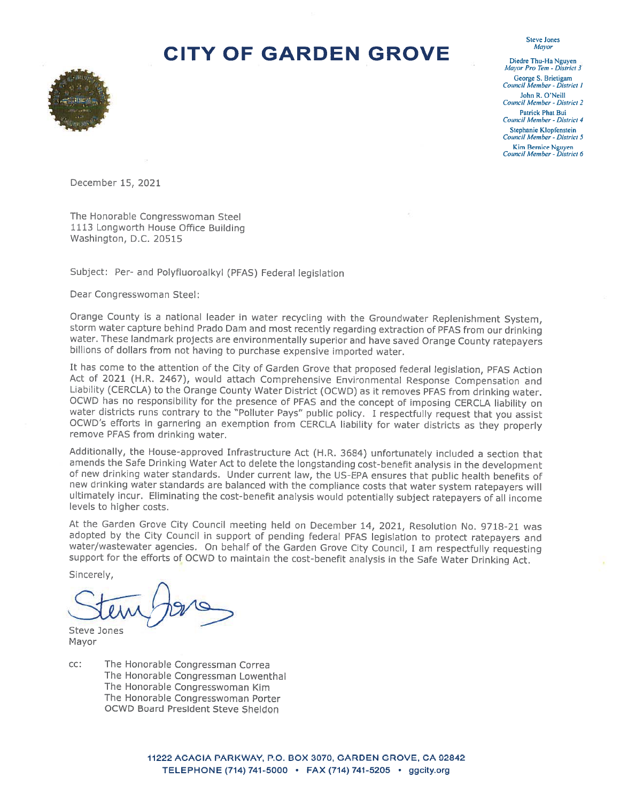

Diedre Thu-Ha Nguyen Mayor Pro Tem - District 3 George S. Brietigam Council Member - District 1 John R. O'Neill **Council Member - District 2** Patrick Phat Bui Council Member - District 4 Stephanie Klopfenstein Council Member - District 5 Kim Bernice Nguyen Council Member - District 6

**Steve Jones** Mayor

December 15, 2021

The Honorable Congresswoman Steel 1113 Longworth House Office Building Washington, D.C. 20515

Subject: Per- and Polyfluoroalkyl (PFAS) Federal legislation

Dear Congresswoman Steel:

Orange County is a national leader in water recycling with the Groundwater Replenishment System, storm water capture behind Prado Dam and most recently regarding extraction of PFAS from our drinking water. These landmark projects are environmentally superior and have saved Orange County ratepayers billions of dollars from not having to purchase expensive imported water.

It has come to the attention of the City of Garden Grove that proposed federal legislation, PFAS Action Act of 2021 (H.R. 2467), would attach Comprehensive Environmental Response Compensation and Liability (CERCLA) to the Orange County Water District (OCWD) as it removes PFAS from drinking water. OCWD has no responsibility for the presence of PFAS and the concept of imposing CERCLA liability on water districts runs contrary to the "Polluter Pays" public policy. I respectfully request that you assist OCWD's efforts in garnering an exemption from CERCLA liability for water districts as they properly remove PFAS from drinking water.

Additionally, the House-approved Infrastructure Act (H.R. 3684) unfortunately included a section that amends the Safe Drinking Water Act to delete the longstanding cost-benefit analysis in the development of new drinking water standards. Under current law, the US-EPA ensures that public health benefits of new drinking water standards are balanced with the compliance costs that water system ratepayers will ultimately incur. Eliminating the cost-benefit analysis would potentially subject ratepayers of all income levels to higher costs.

At the Garden Grove City Council meeting held on December 14, 2021, Resolution No. 9718-21 was adopted by the City Council in support of pending federal PFAS legislation to protect ratepayers and water/wastewater agencies. On behalf of the Garden Grove City Council, I am respectfully requesting support for the efforts of OCWD to maintain the cost-benefit analysis in the Safe Water Drinking Act.

Sincerely,

**Steve Jones** 

Mayor

CC: The Honorable Congressman Correa The Honorable Congressman Lowenthal The Honorable Congresswoman Kim The Honorable Congresswoman Porter OCWD Board President Steve Sheldon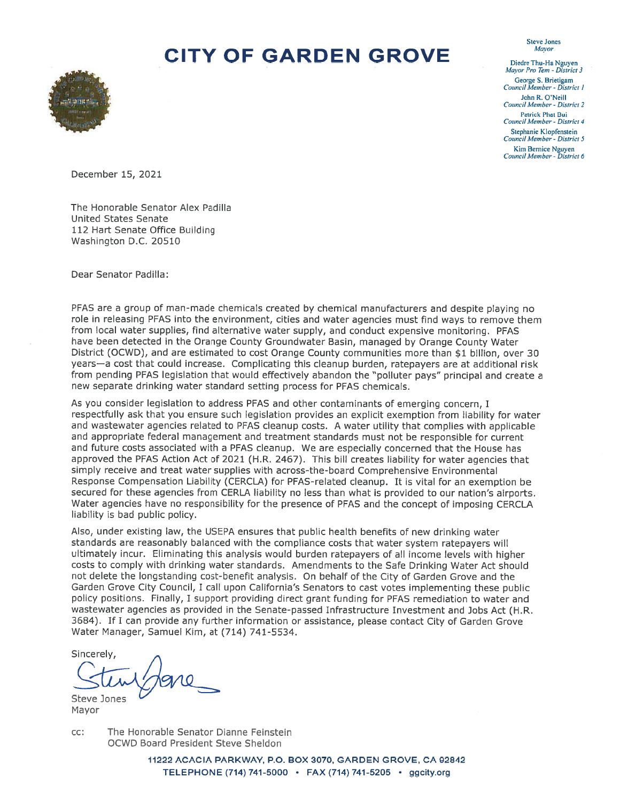

**Steve Jones** Mayor Diedre Thu-Ha Nguyen

Mayor Pro Tem - District 3 George S. Brietigam Council Member - District 1 John R. O'Neill Council Member - District 2 Patrick Phat Bui Council Member - District 4 Stephanie Klopfenstein

Council Member - District 5 Kim Bernice Nguyen<br>Council Member - District 6

December 15, 2021

The Honorable Senator Alex Padilla **United States Senate** 112 Hart Senate Office Building Washington D.C. 20510

Dear Senator Padilla:

PFAS are a group of man-made chemicals created by chemical manufacturers and despite playing no role in releasing PFAS into the environment, cities and water agencies must find ways to remove them from local water supplies, find alternative water supply, and conduct expensive monitoring. PFAS have been detected in the Orange County Groundwater Basin, managed by Orange County Water District (OCWD), and are estimated to cost Orange County communities more than \$1 billion, over 30 years-a cost that could increase. Complicating this cleanup burden, ratepayers are at additional risk from pending PFAS legislation that would effectively abandon the "polluter pays" principal and create a new separate drinking water standard setting process for PFAS chemicals.

As you consider legislation to address PFAS and other contaminants of emerging concern. I respectfully ask that you ensure such legislation provides an explicit exemption from liability for water and wastewater agencies related to PFAS cleanup costs. A water utility that complies with applicable and appropriate federal management and treatment standards must not be responsible for current and future costs associated with a PFAS cleanup. We are especially concerned that the House has approved the PFAS Action Act of 2021 (H.R. 2467). This bill creates liability for water agencies that simply receive and treat water supplies with across-the-board Comprehensive Environmental Response Compensation Liability (CERCLA) for PFAS-related cleanup. It is vital for an exemption be secured for these agencies from CERLA liability no less than what is provided to our nation's airports. Water agencies have no responsibility for the presence of PFAS and the concept of imposing CERCLA liability is bad public policy.

Also, under existing law, the USEPA ensures that public health benefits of new drinking water standards are reasonably balanced with the compliance costs that water system ratepayers will ultimately incur. Eliminating this analysis would burden ratepayers of all income levels with higher costs to comply with drinking water standards. Amendments to the Safe Drinking Water Act should not delete the longstanding cost-benefit analysis. On behalf of the City of Garden Grove and the Garden Grove City Council, I call upon California's Senators to cast votes implementing these public policy positions. Finally, I support providing direct grant funding for PFAS remediation to water and wastewater agencies as provided in the Senate-passed Infrastructure Investment and Jobs Act (H.R. 3684). If I can provide any further information or assistance, please contact City of Garden Grove Water Manager, Samuel Kim, at (714) 741-5534.

Sincerely, Steve Jones

Mayor

 $CC$ : The Honorable Senator Dianne Feinstein OCWD Board President Steve Sheldon

> 11222 ACACIA PARKWAY, P.O. BOX 3070, GARDEN GROVE, CA 92842 TELEPHONE (714) 741-5000 · FAX (714) 741-5205 · ggcity.org